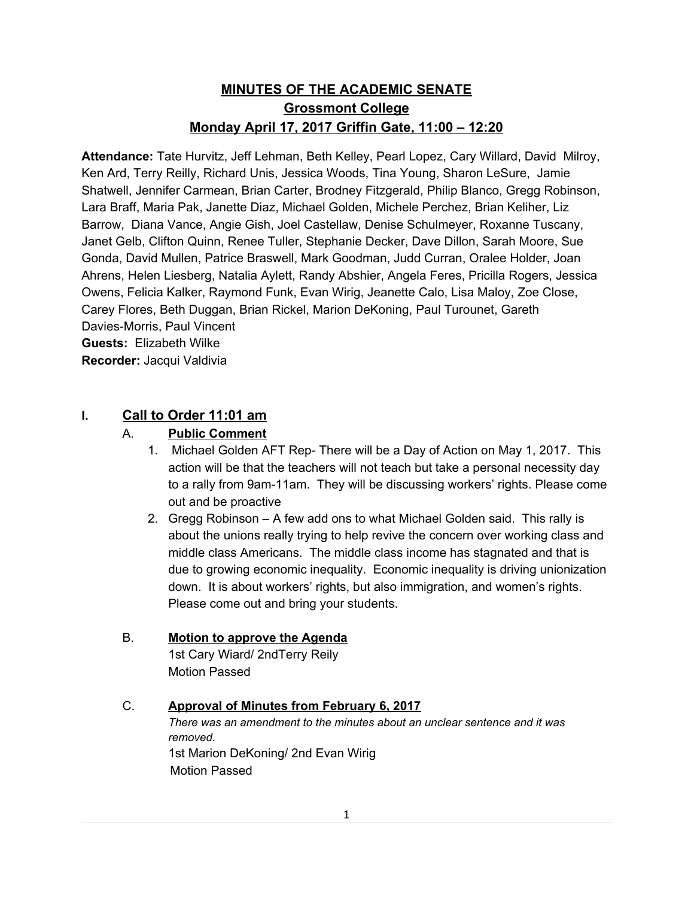# **MINUTES OF THE ACADEMIC SENATE Grossmont College Monday April 17, 2017 Griffin Gate, 11:00 – 12:20**

**Attendance:** Tate Hurvitz, Jeff Lehman, Beth Kelley, Pearl Lopez, Cary Willard, David Milroy, Ken Ard, Terry Reilly, Richard Unis, Jessica Woods, Tina Young, Sharon LeSure, Jamie Shatwell, Jennifer Carmean, Brian Carter, Brodney Fitzgerald, Philip Blanco, Gregg Robinson, Lara Braff, Maria Pak, Janette Diaz, Michael Golden, Michele Perchez, Brian Keliher, Liz Barrow, Diana Vance, Angie Gish, Joel Castellaw, Denise Schulmeyer, Roxanne Tuscany, Janet Gelb, Clifton Quinn, Renee Tuller, Stephanie Decker, Dave Dillon, Sarah Moore, Sue Gonda, David Mullen, Patrice Braswell, Mark Goodman, Judd Curran, Oralee Holder, Joan Ahrens, Helen Liesberg, Natalia Aylett, Randy Abshier, Angela Feres, Pricilla Rogers, Jessica Owens, Felicia Kalker, Raymond Funk, Evan Wirig, Jeanette Calo, Lisa Maloy, Zoe Close, Carey Flores, Beth Duggan, Brian Rickel, Marion DeKoning, Paul Turounet, Gareth Davies-Morris, Paul Vincent **Guests:** Elizabeth Wilke **Recorder:** Jacqui Valdivia

## **I. Call to Order 11:01 am**

## A. **Public Comment**

- 1. Michael Golden AFT Rep- There will be a Day of Action on May 1, 2017. This action will be that the teachers will not teach but take a personal necessity day to a rally from 9am-11am. They will be discussing workers' rights. Please come out and be proactive
- 2. Gregg Robinson A few add ons to what Michael Golden said. This rally is about the unions really trying to help revive the concern over working class and middle class Americans. The middle class income has stagnated and that is due to growing economic inequality. Economic inequality is driving unionization down. It is about workers' rights, but also immigration, and women's rights. Please come out and bring your students.

# B. **Motion to approve the Agenda**

1st Cary Wiard/ 2ndTerry Reily Motion Passed

#### C. **Approval of Minutes from February 6, 2017**

*There was an amendment to the minutes about an unclear sentence and it was removed.* 1st Marion DeKoning/ 2nd Evan Wirig Motion Passed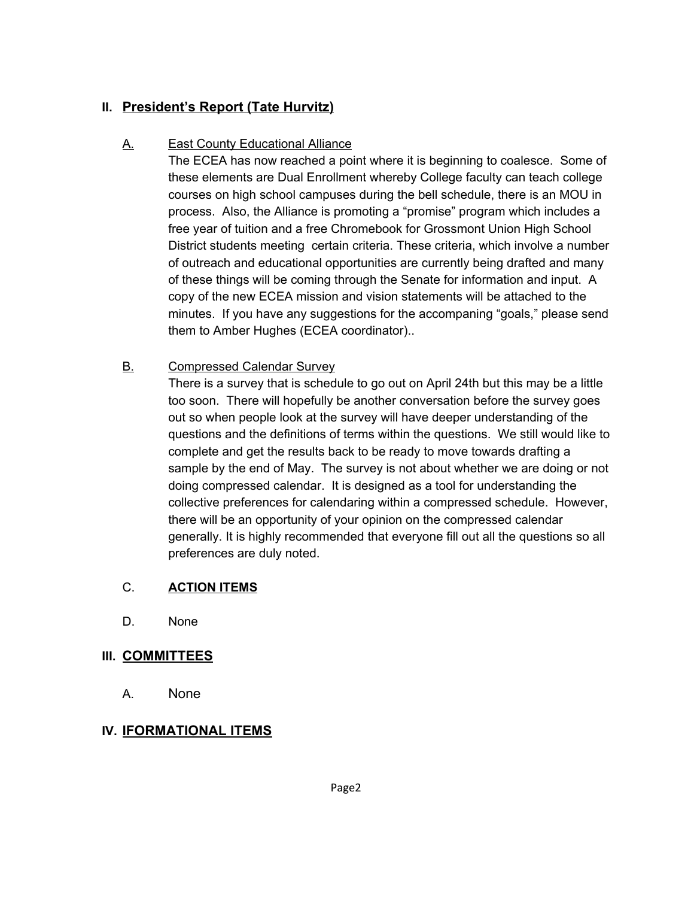# **II. President's Report (Tate Hurvitz)**

# A. East County Educational Alliance

The ECEA has now reached a point where it is beginning to coalesce. Some of these elements are Dual Enrollment whereby College faculty can teach college courses on high school campuses during the bell schedule, there is an MOU in process. Also, the Alliance is promoting a "promise" program which includes a free year of tuition and a free Chromebook for Grossmont Union High School District students meeting certain criteria. These criteria, which involve a number of outreach and educational opportunities are currently being drafted and many of these things will be coming through the Senate for information and input. A copy of the new ECEA mission and vision statements will be attached to the minutes. If you have any suggestions for the accompaning "goals," please send them to Amber Hughes (ECEA coordinator)..

#### **B.** Compressed Calendar Survey

There is a survey that is schedule to go out on April 24th but this may be a little too soon. There will hopefully be another conversation before the survey goes out so when people look at the survey will have deeper understanding of the questions and the definitions of terms within the questions. We still would like to complete and get the results back to be ready to move towards drafting a sample by the end of May. The survey is not about whether we are doing or not doing compressed calendar. It is designed as a tool for understanding the collective preferences for calendaring within a compressed schedule. However, there will be an opportunity of your opinion on the compressed calendar generally. It is highly recommended that everyone fill out all the questions so all preferences are duly noted.

#### C. **ACTION ITEMS**

D. None

#### **III. COMMITTEES**

A. None

# **IV. IFORMATIONAL ITEMS**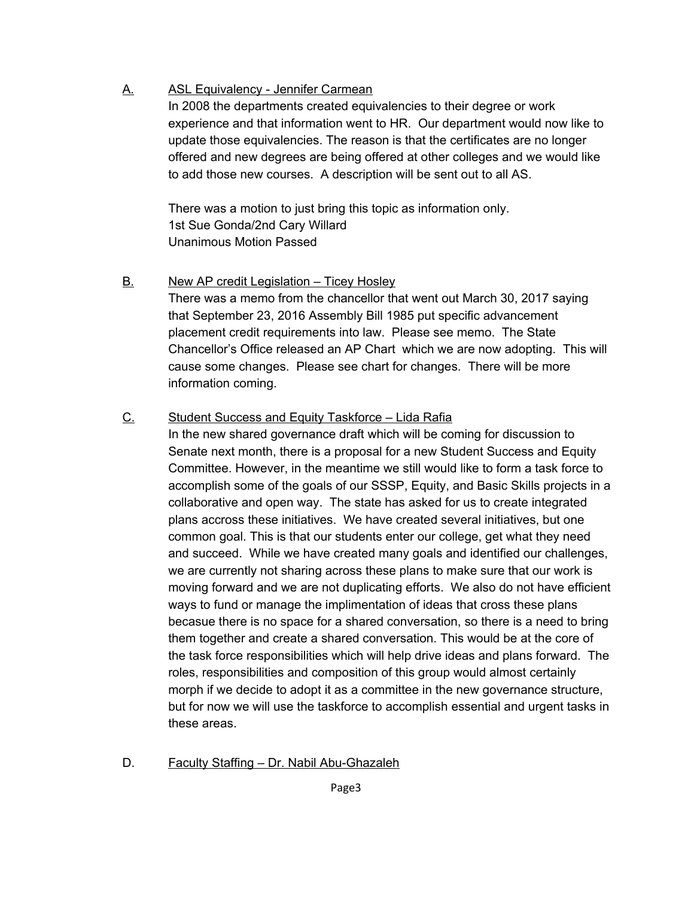# A. ASL Equivalency - Jennifer Carmean

In 2008 the departments created equivalencies to their degree or work experience and that information went to HR. Our department would now like to update those equivalencies. The reason is that the certificates are no longer offered and new degrees are being offered at other colleges and we would like to add those new courses. A description will be sent out to all AS.

There was a motion to just bring this topic as information only. 1st Sue Gonda/2nd Cary Willard Unanimous Motion Passed

## B. New AP credit Legislation – Ticey Hosley

There was a memo from the chancellor that went out March 30, 2017 saying that September 23, 2016 Assembly Bill 1985 put specific advancement placement credit requirements into law. Please see memo. The State Chancellor's Office released an AP Chart which we are now adopting. This will cause some changes. Please see chart for changes. There will be more information coming.

## C. Student Success and Equity Taskforce – Lida Rafia

In the new shared governance draft which will be coming for discussion to Senate next month, there is a proposal for a new Student Success and Equity Committee. However, in the meantime we still would like to form a task force to accomplish some of the goals of our SSSP, Equity, and Basic Skills projects in a collaborative and open way. The state has asked for us to create integrated plans accross these initiatives. We have created several initiatives, but one common goal. This is that our students enter our college, get what they need and succeed. While we have created many goals and identified our challenges, we are currently not sharing across these plans to make sure that our work is moving forward and we are not duplicating efforts. We also do not have efficient ways to fund or manage the implimentation of ideas that cross these plans becasue there is no space for a shared conversation, so there is a need to bring them together and create a shared conversation. This would be at the core of the task force responsibilities which will help drive ideas and plans forward. The roles, responsibilities and composition of this group would almost certainly morph if we decide to adopt it as a committee in the new governance structure, but for now we will use the taskforce to accomplish essential and urgent tasks in these areas.

D. Faculty Staffing – Dr. Nabil Abu-Ghazaleh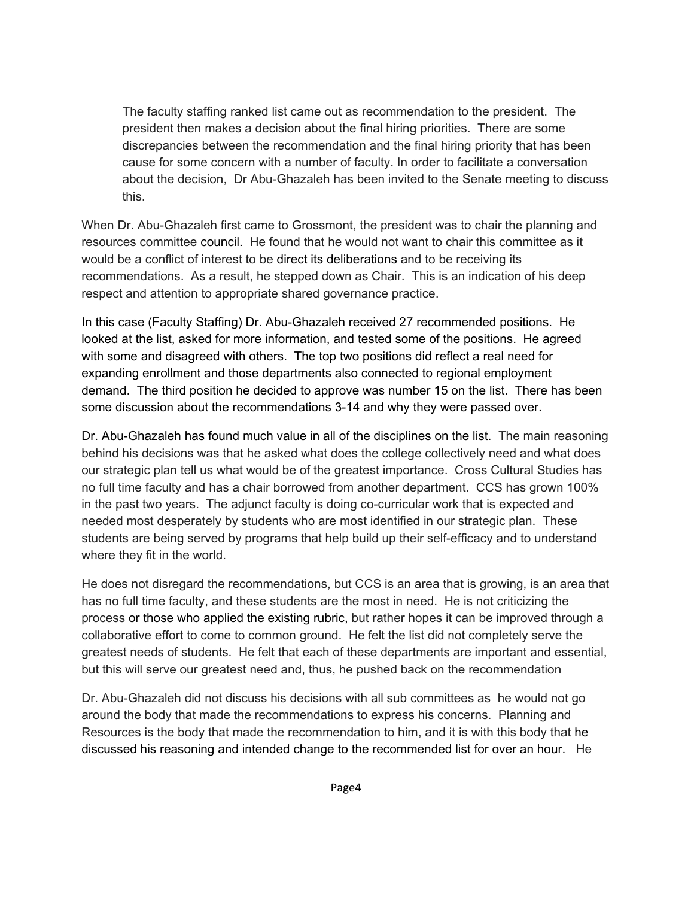The faculty staffing ranked list came out as recommendation to the president. The president then makes a decision about the final hiring priorities. There are some discrepancies between the recommendation and the final hiring priority that has been cause for some concern with a number of faculty. In order to facilitate a conversation about the decision, Dr Abu-Ghazaleh has been invited to the Senate meeting to discuss this.

When Dr. Abu-Ghazaleh first came to Grossmont, the president was to chair the planning and resources committee council. He found that he would not want to chair this committee as it would be a conflict of interest to be direct its deliberations and to be receiving its recommendations. As a result, he stepped down as Chair. This is an indication of his deep respect and attention to appropriate shared governance practice.

In this case (Faculty Staffing) Dr. Abu-Ghazaleh received 27 recommended positions. He looked at the list, asked for more information, and tested some of the positions. He agreed with some and disagreed with others. The top two positions did reflect a real need for expanding enrollment and those departments also connected to regional employment demand. The third position he decided to approve was number 15 on the list. There has been some discussion about the recommendations 3-14 and why they were passed over.

Dr. Abu-Ghazaleh has found much value in all of the disciplines on the list. The main reasoning behind his decisions was that he asked what does the college collectively need and what does our strategic plan tell us what would be of the greatest importance. Cross Cultural Studies has no full time faculty and has a chair borrowed from another department. CCS has grown 100% in the past two years. The adjunct faculty is doing co-curricular work that is expected and needed most desperately by students who are most identified in our strategic plan. These students are being served by programs that help build up their self-efficacy and to understand where they fit in the world.

He does not disregard the recommendations, but CCS is an area that is growing, is an area that has no full time faculty, and these students are the most in need. He is not criticizing the process or those who applied the existing rubric, but rather hopes it can be improved through a collaborative effort to come to common ground. He felt the list did not completely serve the greatest needs of students. He felt that each of these departments are important and essential, but this will serve our greatest need and, thus, he pushed back on the recommendation

Dr. Abu-Ghazaleh did not discuss his decisions with all sub committees as he would not go around the body that made the recommendations to express his concerns. Planning and Resources is the body that made the recommendation to him, and it is with this body that he discussed his reasoning and intended change to the recommended list for over an hour. He